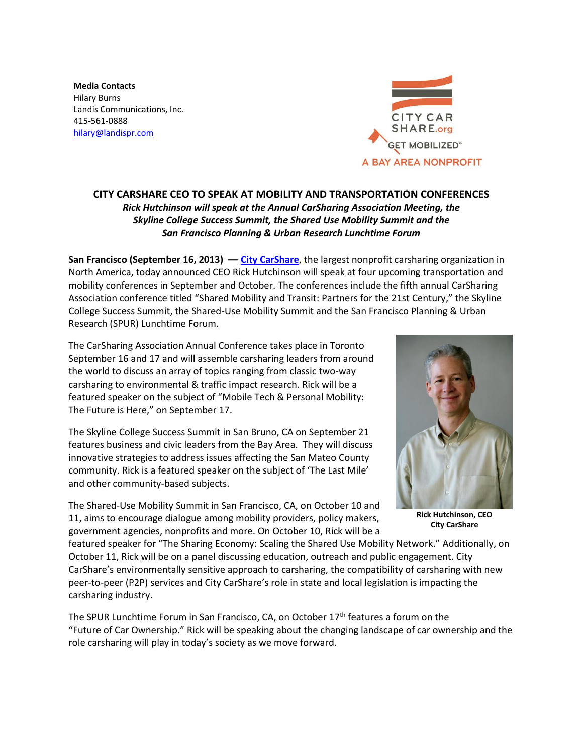**Media Contacts** Hilary Burns Landis Communications, Inc. 415-561-0888 [hilary@landispr.com](mailto:hilary@landispr.com)



## **CITY CARSHARE CEO TO SPEAK AT MOBILITY AND TRANSPORTATION CONFERENCES**  *Rick Hutchinson will speak at the Annual CarSharing Association Meeting, the Skyline College Success Summit, the Shared Use Mobility Summit and the San Francisco Planning & Urban Research Lunchtime Forum*

**San Francisco (September 16, 2013) –– City [CarShare](https://www.citycarshare.org/)**, the largest nonprofit carsharing organization in North America, today announced CEO Rick Hutchinson will speak at four upcoming transportation and mobility conferences in September and October. The conferences include the fifth annual CarSharing Association conference titled "Shared Mobility and Transit: Partners for the 21st Century," the Skyline College Success Summit, the Shared-Use Mobility Summit and the San Francisco Planning & Urban Research (SPUR) Lunchtime Forum.

The CarSharing Association Annual Conference takes place in Toronto September 16 and 17 and will assemble carsharing leaders from around the world to discuss an array of topics ranging from classic two-way carsharing to environmental & traffic impact research. Rick will be a featured speaker on the subject of "Mobile Tech & Personal Mobility: The Future is Here," on September 17.

The Skyline College Success Summit in San Bruno, CA on September 21 features business and civic leaders from the Bay Area. They will discuss innovative strategies to address issues affecting the San Mateo County community. Rick is a featured speaker on the subject of 'The Last Mile' and other community-based subjects.

The Shared-Use Mobility Summit in San Francisco, CA, on October 10 and 11, aims to encourage dialogue among mobility providers, policy makers, government agencies, nonprofits and more. On October 10, Rick will be a



**Rick Hutchinson, CEO City CarShare**

featured speaker for "The Sharing Economy: Scaling the Shared Use Mobility Network." Additionally, on October 11, Rick will be on a panel discussing education, outreach and public engagement. City CarShare's environmentally sensitive approach to carsharing, the compatibility of carsharing with new peer-to-peer (P2P) services and City CarShare's role in state and local legislation is impacting the carsharing industry.

The SPUR Lunchtime Forum in San Francisco, CA, on October  $17<sup>th</sup>$  features a forum on the "Future of Car Ownership." Rick will be speaking about the changing landscape of car ownership and the role carsharing will play in today's society as we move forward.